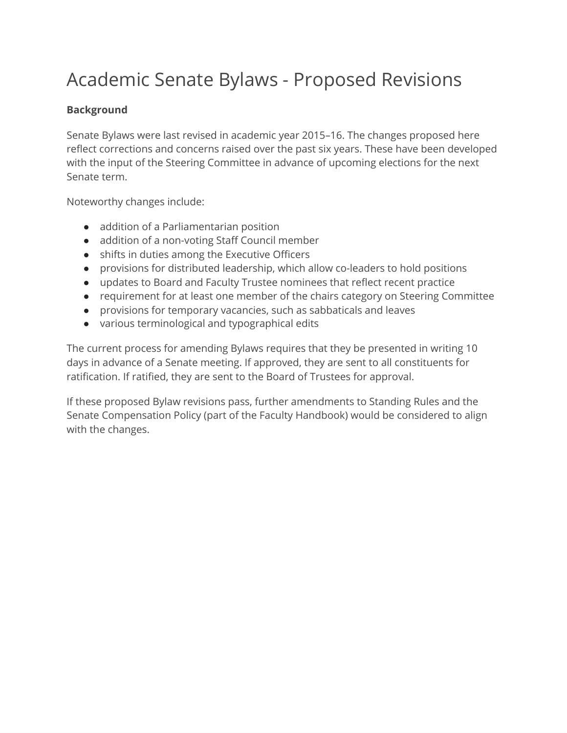# Academic Senate Bylaws - Proposed Revisions

#### **Background**

Senate Bylaws were last revised in academic year 2015–16. The changes proposed here reflect corrections and concerns raised over the past six years. These have been developed with the input of the Steering Committee in advance of upcoming elections for the next Senate term.

Noteworthy changes include:

- addition of a Parliamentarian position
- addition of a non-voting Staff Council member
- shifts in duties among the Executive Officers
- provisions for distributed leadership, which allow co-leaders to hold positions
- updates to Board and Faculty Trustee nominees that reflect recent practice
- requirement for at least one member of the chairs category on Steering Committee
- provisions for temporary vacancies, such as sabbaticals and leaves
- various terminological and typographical edits

The current process for amending Bylaws requires that they be presented in writing 10 days in advance of a Senate meeting. If approved, they are sent to all constituents for ratification. If ratified, they are sent to the Board of Trustees for approval.

If these proposed Bylaw revisions pass, further amendments to Standing Rules and the Senate Compensation Policy (part of the Faculty Handbook) would be considered to align with the changes.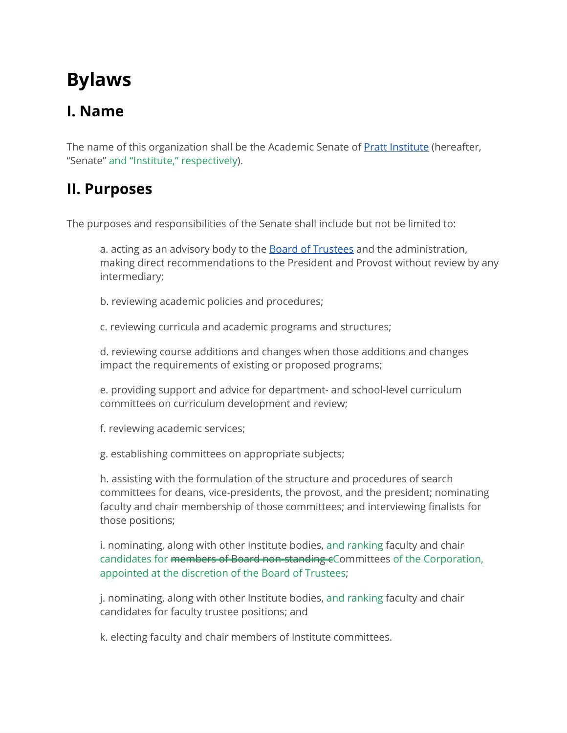# **Bylaws**

# **I. Name**

The name of this organization shall be the Academic Senate of **Pratt [Institute](https://www.pratt.edu/)** (hereafter, "Senate" and "Institute," respectively).

## **II. Purposes**

The purposes and responsibilities of the Senate shall include but not be limited to:

a. acting as an advisory body to the **Board of [Trustees](https://www.pratt.edu/the-institute/mission-and-governance/trustees/)** and the administration, making direct recommendations to the President and Provost without review by any intermediary;

b. reviewing academic policies and procedures;

c. reviewing curricula and academic programs and structures;

d. reviewing course additions and changes when those additions and changes impact the requirements of existing or proposed programs;

e. providing support and advice for department- and school-level curriculum committees on curriculum development and review;

f. reviewing academic services;

g. establishing committees on appropriate subjects;

h. assisting with the formulation of the structure and procedures of search committees for deans, vice-presidents, the provost, and the president; nominating faculty and chair membership of those committees; and interviewing finalists for those positions;

i. nominating, along with other Institute bodies, and ranking faculty and chair candidates for members of Board non-standing eCommittees of the Corporation, appointed at the discretion of the Board of Trustees;

j. nominating, along with other Institute bodies, and ranking faculty and chair candidates for faculty trustee positions; and

k. electing faculty and chair members of Institute committees.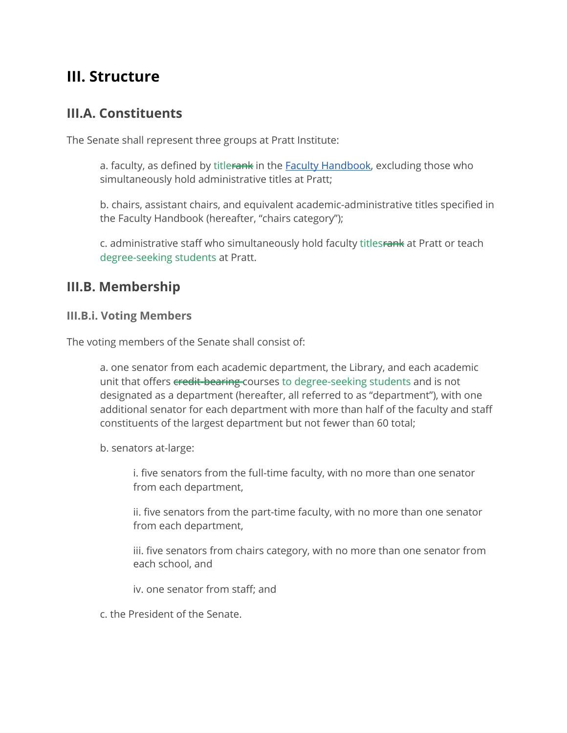### **III. Structure**

#### **III.A. Constituents**

The Senate shall represent three groups at Pratt Institute:

a. faculty, as defined by titlerank in the **Faculty [Handbook](https://www.pratt.edu/tiny_mce/plugins/imagemanager/files/Pratt_Faculty_Handbook_2020.pdf)**, excluding those who simultaneously hold administrative titles at Pratt;

b. chairs, assistant chairs, and equivalent academic-administrative titles specified in the Faculty Handbook (hereafter, "chairs category");

c. administrative staff who simultaneously hold faculty titlesrank at Pratt or teach degree-seeking students at Pratt.

#### **III.B. Membership**

#### **III.B.i. Voting Members**

The voting members of the Senate shall consist of:

a. one senator from each academic department, the Library, and each academic unit that offers credit-bearing courses to degree-seeking students and is not designated as a department (hereafter, all referred to as "department"), with one additional senator for each department with more than half of the faculty and staff constituents of the largest department but not fewer than 60 total;

b. senators at-large:

i. five senators from the full-time faculty, with no more than one senator from each department,

ii. five senators from the part-time faculty, with no more than one senator from each department,

iii. five senators from chairs category, with no more than one senator from each school, and

iv. one senator from staff; and

c. the President of the Senate.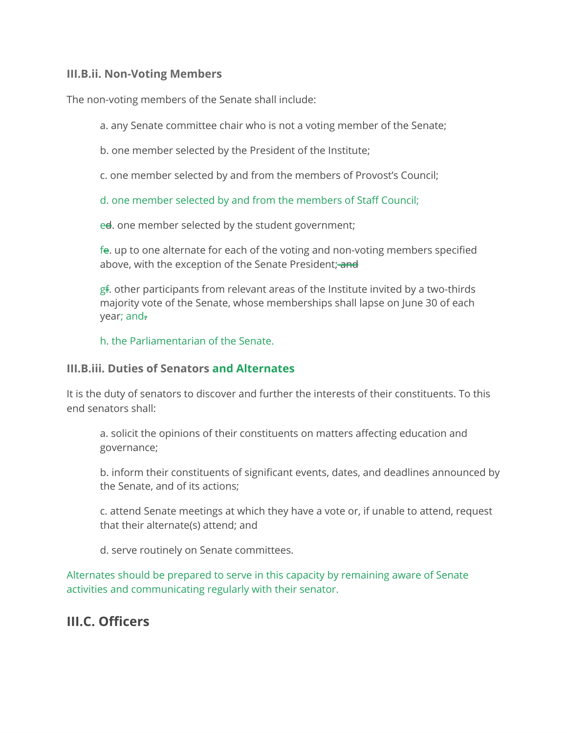#### **III.B.ii. Non-Voting Members**

The non-voting members of the Senate shall include:

a. any Senate committee chair who is not a voting member of the Senate;

b. one member selected by the President of the Institute;

c. one member selected by and from the members of Provost's Council;

d. one member selected by and from the members of Staff Council;

ed. one member selected by the student government;

fe. up to one alternate for each of the voting and non-voting members specified above, with the exception of the Senate President; and

gf. other participants from relevant areas of the Institute invited by a two-thirds majority vote of the Senate, whose memberships shall lapse on June 30 of each year; and.

h. the Parliamentarian of the Senate.

#### **III.B.iii. Duties of Senators and Alternates**

It is the duty of senators to discover and further the interests of their constituents. To this end senators shall:

a. solicit the opinions of their constituents on matters affecting education and governance;

b. inform their constituents of significant events, dates, and deadlines announced by the Senate, and of its actions;

c. attend Senate meetings at which they have a vote or, if unable to attend, request that their alternate(s) attend; and

d. serve routinely on Senate committees.

Alternates should be prepared to serve in this capacity by remaining aware of Senate activities and communicating regularly with their senator.

### **III.C. Officers**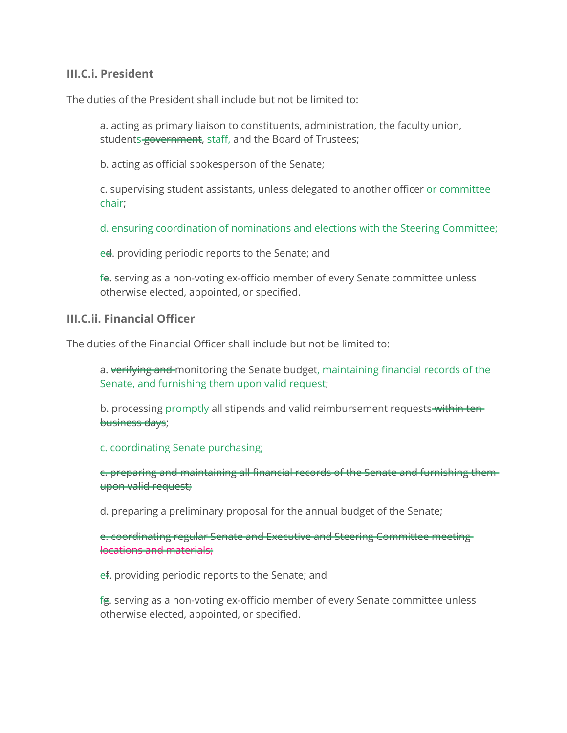#### **III.C.i. President**

The duties of the President shall include but not be limited to:

a. acting as primary liaison to constituents, administration, the faculty union, students government, staff, and the Board of Trustees;

b. acting as official spokesperson of the Senate;

c. supervising student assistants, unless delegated to another officer or committee chair;

d. ensuring coordination of nominations and elections with the Steering Committee;

ed. providing periodic reports to the Senate; and

fe. serving as a non-voting ex-officio member of every Senate committee unless otherwise elected, appointed, or specified.

#### **III.C.ii. Financial Officer**

The duties of the Financial Officer shall include but not be limited to:

a. verifying and monitoring the Senate budget, maintaining financial records of the Senate, and furnishing them upon valid request;

b. processing promptly all stipends and valid reimbursement requests within tenbusiness days;

c. coordinating Senate purchasing;

c. preparing and maintaining all financial records of the Senate and furnishing them upon valid request;

d. preparing a preliminary proposal for the annual budget of the Senate;

e. coordinating regular Senate and Executive and Steering Committee meeting locations and materials;

ef. providing periodic reports to the Senate; and

fg. serving as a non-voting ex-officio member of every Senate committee unless otherwise elected, appointed, or specified.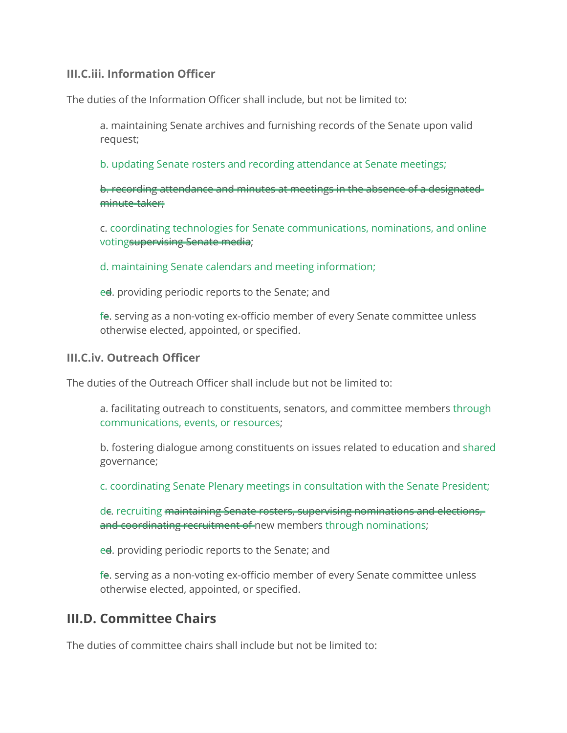#### **III.C.iii. Information Officer**

The duties of the Information Officer shall include, but not be limited to:

a. maintaining Senate archives and furnishing records of the Senate upon valid request;

b. updating Senate rosters and recording attendance at Senate meetings;

b. recording attendance and minutes at meetings in the absence of a designated minute-taker;

c. coordinating technologies for Senate communications, nominations, and online votingsupervising Senate media;

d. maintaining Senate calendars and meeting information;

ed. providing periodic reports to the Senate; and

fe. serving as a non-voting ex-officio member of every Senate committee unless otherwise elected, appointed, or specified.

#### **III.C.iv. Outreach Officer**

The duties of the Outreach Officer shall include but not be limited to:

a. facilitating outreach to constituents, senators, and committee members through communications, events, or resources;

b. fostering dialogue among constituents on issues related to education and shared governance;

c. coordinating Senate Plenary meetings in consultation with the Senate President;

de. recruiting maintaining Senate rosters, supervising nominations and elections, and coordinating recruitment of new members through nominations;

ed. providing periodic reports to the Senate; and

fe. serving as a non-voting ex-officio member of every Senate committee unless otherwise elected, appointed, or specified.

### **III.D. Committee Chairs**

The duties of committee chairs shall include but not be limited to: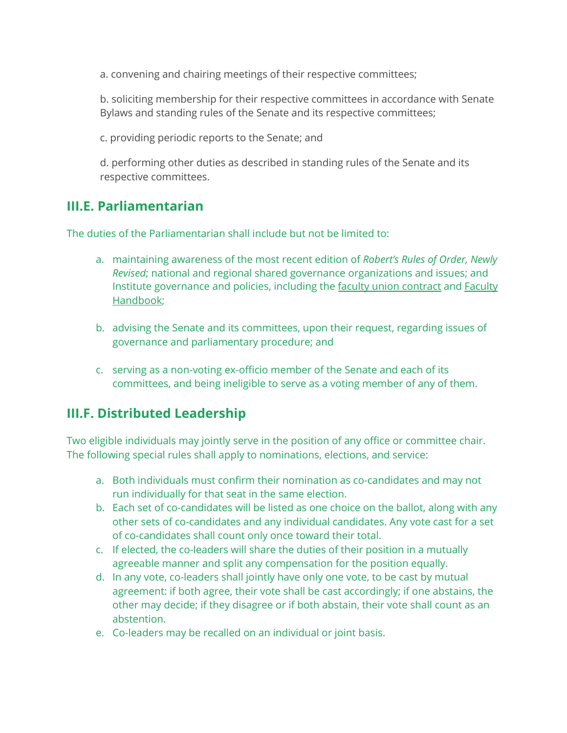a. convening and chairing meetings of their respective committees;

b. soliciting membership for their respective committees in accordance with Senate Bylaws and standing rules of the Senate and its respective committees;

c. providing periodic reports to the Senate; and

d. performing other duties as described in standing rules of the Senate and its respective committees.

### **III.E. Parliamentarian**

The duties of the Parliamentarian shall include but not be limited to:

- a. maintaining awareness of the most recent edition of *Robert's Rules of Order, Newly Revised*; national and regional shared governance organizations and issues; and Institute governance and policies, including the faculty union [contract](http://www.pratt-union.org/documents/contract/) and [Faculty](https://prattsenate.org/faculty-handbook) [Handbook](https://prattsenate.org/faculty-handbook)[;](http://www.pratt-union.org/documents/contract/)
- b. advising the Senate and its committees, upon their request, regarding issues of governance and parliamentary procedure; and
- c. serving as a non-voting ex-officio member of the Senate and each of its committees, and being ineligible to serve as a voting member of any of them.

### **III.F. Distributed Leadership**

Two eligible individuals may jointly serve in the position of any office or committee chair. The following special rules shall apply to nominations, elections, and service:

- a. Both individuals must confirm their nomination as co-candidates and may not run individually for that seat in the same election.
- b. Each set of co-candidates will be listed as one choice on the ballot, along with any other sets of co-candidates and any individual candidates. Any vote cast for a set of co-candidates shall count only once toward their total.
- c. If elected, the co-leaders will share the duties of their position in a mutually agreeable manner and split any compensation for the position equally.
- d. In any vote, co-leaders shall jointly have only one vote, to be cast by mutual agreement: if both agree, their vote shall be cast accordingly; if one abstains, the other may decide; if they disagree or if both abstain, their vote shall count as an abstention.
- e. Co-leaders may be recalled on an individual or joint basis.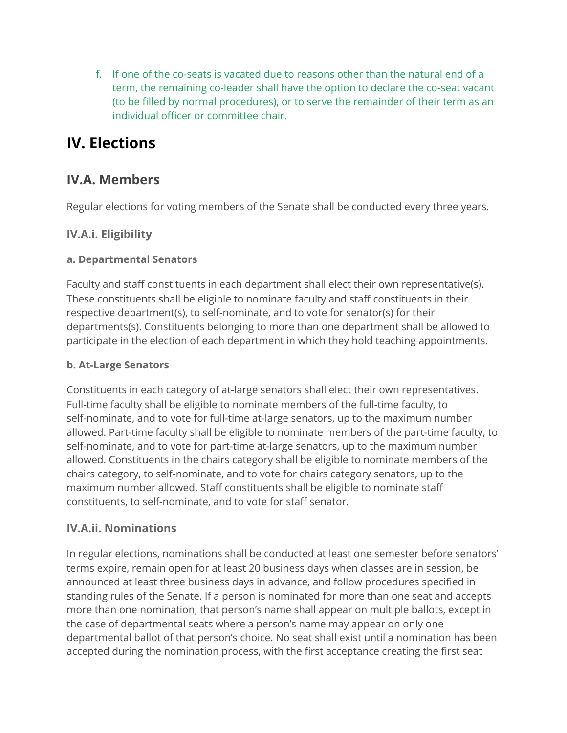f. If one of the co-seats is vacated due to reasons other than the natural end of a term, the remaining co-leader shall have the option to declare the co-seat vacant (to be filled by normal procedures), or to serve the remainder of their term as an individual officer or committee chair.

# **IV. Elections**

### **IV.A. Members**

Regular elections for voting members of the Senate shall be conducted every three years.

#### **IV.A.i. Eligibility**

#### **a. Departmental Senators**

Faculty and staff constituents in each department shall elect their own representative(s). These constituents shall be eligible to nominate faculty and staff constituents in their respective department(s), to self-nominate, and to vote for senator(s) for their departments(s). Constituents belonging to more than one department shall be allowed to participate in the election of each department in which they hold teaching appointments.

#### **b. At-Large Senators**

Constituents in each category of at-large senators shall elect their own representatives. Full-time faculty shall be eligible to nominate members of the full-time faculty, to self-nominate, and to vote for full-time at-large senators, up to the maximum number allowed. Part-time faculty shall be eligible to nominate members of the part-time faculty, to self-nominate, and to vote for part-time at-large senators, up to the maximum number allowed. Constituents in the chairs category shall be eligible to nominate members of the chairs category, to self-nominate, and to vote for chairs category senators, up to the maximum number allowed. Staff constituents shall be eligible to nominate staff constituents, to self-nominate, and to vote for staff senator.

#### **IV.A.ii. Nominations**

In regular elections, nominations shall be conducted at least one semester before senators' terms expire, remain open for at least 20 business days when classes are in session, be announced at least three business days in advance, and follow procedures specified in standing rules of the Senate. If a person is nominated for more than one seat and accepts more than one nomination, that person's name shall appear on multiple ballots, except in the case of departmental seats where a person's name may appear on only one departmental ballot of that person's choice. No seat shall exist until a nomination has been accepted during the nomination process, with the first acceptance creating the first seat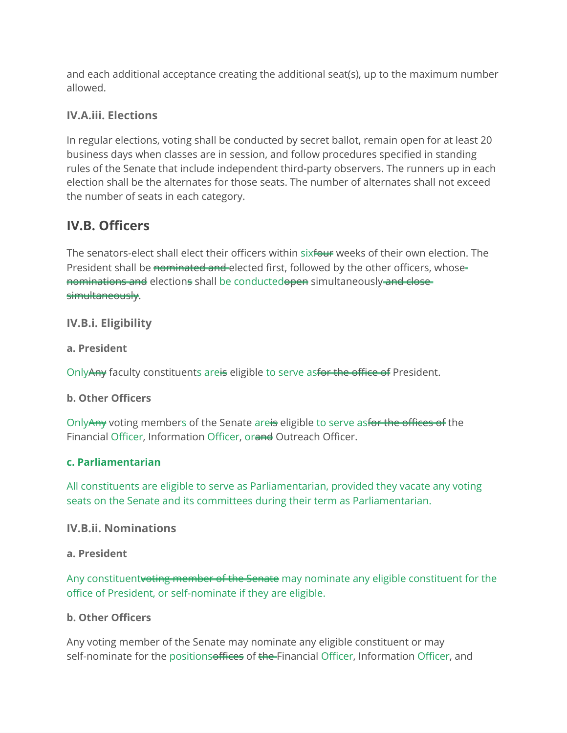and each additional acceptance creating the additional seat(s), up to the maximum number allowed.

#### **IV.A.iii. Elections**

In regular elections, voting shall be conducted by secret ballot, remain open for at least 20 business days when classes are in session, and follow procedures specified in standing rules of the Senate that include independent third-party observers. The runners up in each election shall be the alternates for those seats. The number of alternates shall not exceed the number of seats in each category.

### **IV.B. Officers**

The senators-elect shall elect their officers within sixfour weeks of their own election. The President shall be nominated and elected first, followed by the other officers, whosenominations and elections shall be conductedopen simultaneously and close simultaneously.

#### **IV.B.i. Eligibility**

#### **a. President**

OnlyAny faculty constituents areis eligible to serve asfor the office of President.

#### **b. Other Officers**

OnlyAny voting members of the Senate areis eligible to serve asfor the offices of the Financial Officer, Information Officer, orand Outreach Officer.

#### **c. Parliamentarian**

All constituents are eligible to serve as Parliamentarian, provided they vacate any voting seats on the Senate and its committees during their term as Parliamentarian.

#### **IV.B.ii. Nominations**

#### **a. President**

Any constituentvoting member of the Senate may nominate any eligible constituent for the office of President, or self-nominate if they are eligible.

#### **b. Other Officers**

Any voting member of the Senate may nominate any eligible constituent or may self-nominate for the positionsoffices of the Financial Officer, Information Officer, and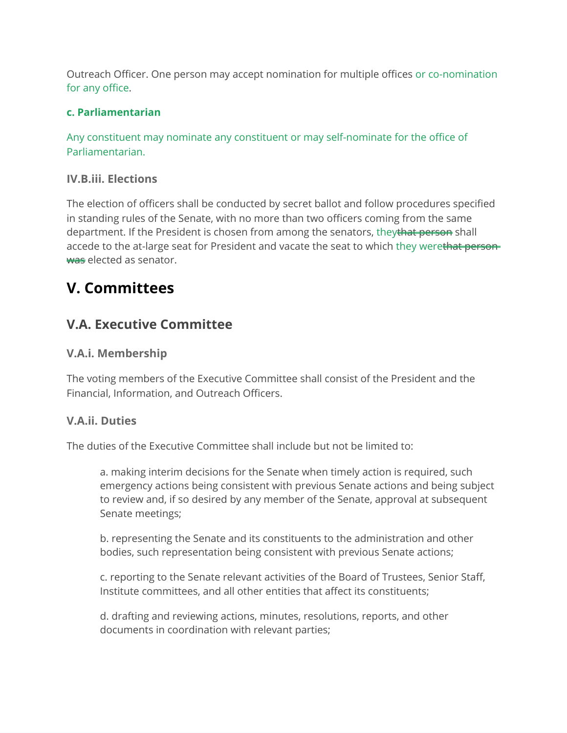Outreach Officer. One person may accept nomination for multiple offices or co-nomination for any office.

#### **c. Parliamentarian**

Any constituent may nominate any constituent or may self-nominate for the office of Parliamentarian.

#### **IV.B.iii. Elections**

The election of officers shall be conducted by secret ballot and follow procedures specified in standing rules of the Senate, with no more than two officers coming from the same department. If the President is chosen from among the senators, theythat person shall accede to the at-large seat for President and vacate the seat to which they werethat personwas elected as senator.

# **V. Committees**

### **V.A. Executive Committee**

#### **V.A.i. Membership**

The voting members of the Executive Committee shall consist of the President and the Financial, Information, and Outreach Officers.

#### **V.A.ii. Duties**

The duties of the Executive Committee shall include but not be limited to:

a. making interim decisions for the Senate when timely action is required, such emergency actions being consistent with previous Senate actions and being subject to review and, if so desired by any member of the Senate, approval at subsequent Senate meetings;

b. representing the Senate and its constituents to the administration and other bodies, such representation being consistent with previous Senate actions;

c. reporting to the Senate relevant activities of the Board of Trustees, Senior Staff, Institute committees, and all other entities that affect its constituents;

d. drafting and reviewing actions, minutes, resolutions, reports, and other documents in coordination with relevant parties;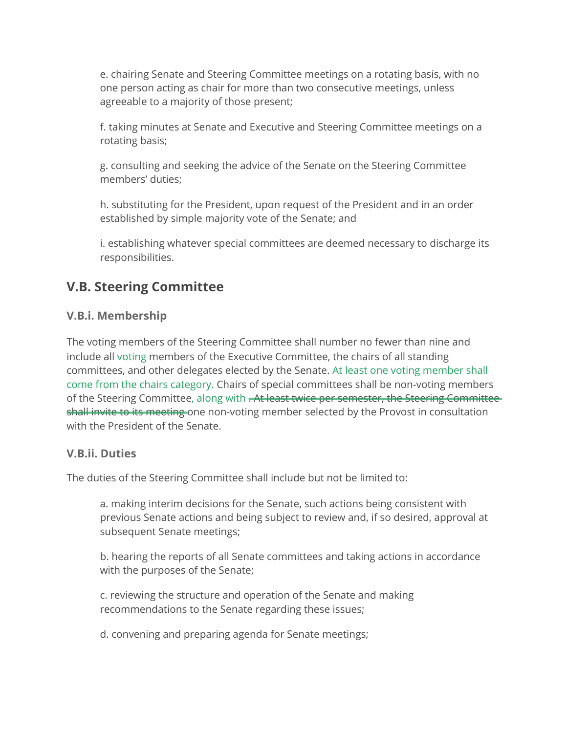e. chairing Senate and Steering Committee meetings on a rotating basis, with no one person acting as chair for more than two consecutive meetings, unless agreeable to a majority of those present;

f. taking minutes at Senate and Executive and Steering Committee meetings on a rotating basis;

g. consulting and seeking the advice of the Senate on the Steering Committee members' duties;

h. substituting for the President, upon request of the President and in an order established by simple majority vote of the Senate; and

i. establishing whatever special committees are deemed necessary to discharge its responsibilities.

### **V.B. Steering Committee**

#### **V.B.i. Membership**

The voting members of the Steering Committee shall number no fewer than nine and include all voting members of the Executive Committee, the chairs of all standing committees, and other delegates elected by the Senate. At least one voting member shall come from the chairs category. Chairs of special committees shall be non-voting members of the Steering Committee, along with . At least twice per semester, the Steering Committee shall invite to its meeting one non-voting member selected by the Provost in consultation with the President of the Senate.

#### **V.B.ii. Duties**

The duties of the Steering Committee shall include but not be limited to:

a. making interim decisions for the Senate, such actions being consistent with previous Senate actions and being subject to review and, if so desired, approval at subsequent Senate meetings;

b. hearing the reports of all Senate committees and taking actions in accordance with the purposes of the Senate;

c. reviewing the structure and operation of the Senate and making recommendations to the Senate regarding these issues;

d. convening and preparing agenda for Senate meetings;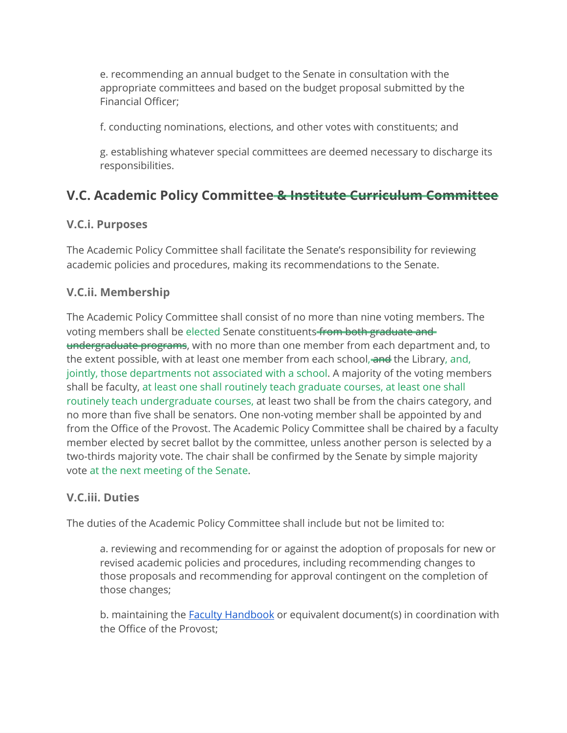e. recommending an annual budget to the Senate in consultation with the appropriate committees and based on the budget proposal submitted by the Financial Officer;

f. conducting nominations, elections, and other votes with constituents; and

g. establishing whatever special committees are deemed necessary to discharge its responsibilities.

### **V.C. Academic Policy Committee & Institute Curriculum Committee**

#### **V.C.i. Purposes**

The Academic Policy Committee shall facilitate the Senate's responsibility for reviewing academic policies and procedures, making its recommendations to the Senate.

#### **V.C.ii. Membership**

The Academic Policy Committee shall consist of no more than nine voting members. The voting members shall be elected Senate constituents from both graduate and undergraduate programs, with no more than one member from each department and, to the extent possible, with at least one member from each school, and the Library, and, jointly, those departments not associated with a school. A majority of the voting members shall be faculty, at least one shall routinely teach graduate courses, at least one shall routinely teach undergraduate courses, at least two shall be from the chairs category, and no more than five shall be senators. One non-voting member shall be appointed by and from the Office of the Provost. The Academic Policy Committee shall be chaired by a faculty member elected by secret ballot by the committee, unless another person is selected by a two-thirds majority vote. The chair shall be confirmed by the Senate by simple majority vote at the next meeting of the Senate.

#### **V.C.iii. Duties**

The duties of the Academic Policy Committee shall include but not be limited to:

a. reviewing and recommending for or against the adoption of proposals for new or revised academic policies and procedures, including recommending changes to those proposals and recommending for approval contingent on the completion of those changes;

b. maintaining the **Faculty [Handbook](https://prattsenate.org/faculty-handbook)** or equivalent document(s) in coordination with the Office of the Provost;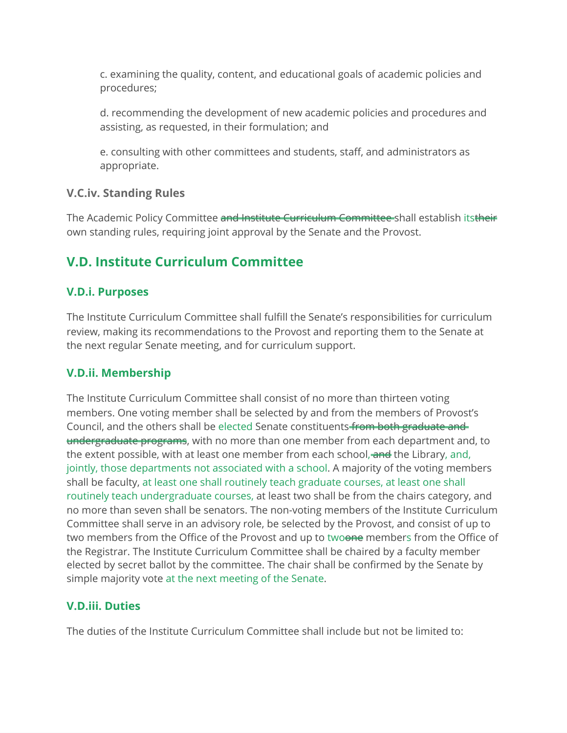c. examining the quality, content, and educational goals of academic policies and procedures;

d. recommending the development of new academic policies and procedures and assisting, as requested, in their formulation; and

e. consulting with other committees and students, staff, and administrators as appropriate.

#### **V.C.iv. Standing Rules**

The Academic Policy Committee and Institute Curriculum Committee shall establish itstheir own standing rules, requiring joint approval by the Senate and the Provost.

### **V.D. Institute Curriculum Committee**

#### **V.D.i. Purposes**

The Institute Curriculum Committee shall fulfill the Senate's responsibilities for curriculum review, making its recommendations to the Provost and reporting them to the Senate at the next regular Senate meeting, and for curriculum support.

#### **V.D.ii. Membership**

The Institute Curriculum Committee shall consist of no more than thirteen voting members. One voting member shall be selected by and from the members of Provost's Council, and the others shall be elected Senate constituents from both graduate and undergraduate programs, with no more than one member from each department and, to the extent possible, with at least one member from each school, and the Library, and, jointly, those departments not associated with a school. A majority of the voting members shall be faculty, at least one shall routinely teach graduate courses, at least one shall routinely teach undergraduate courses, at least two shall be from the chairs category, and no more than seven shall be senators. The non-voting members of the Institute Curriculum Committee shall serve in an advisory role, be selected by the Provost, and consist of up to two members from the Office of the Provost and up to twoone members from the Office of the Registrar. The Institute Curriculum Committee shall be chaired by a faculty member elected by secret ballot by the committee. The chair shall be confirmed by the Senate by simple majority vote at the next meeting of the Senate.

#### **V.D.iii. Duties**

The duties of the Institute Curriculum Committee shall include but not be limited to: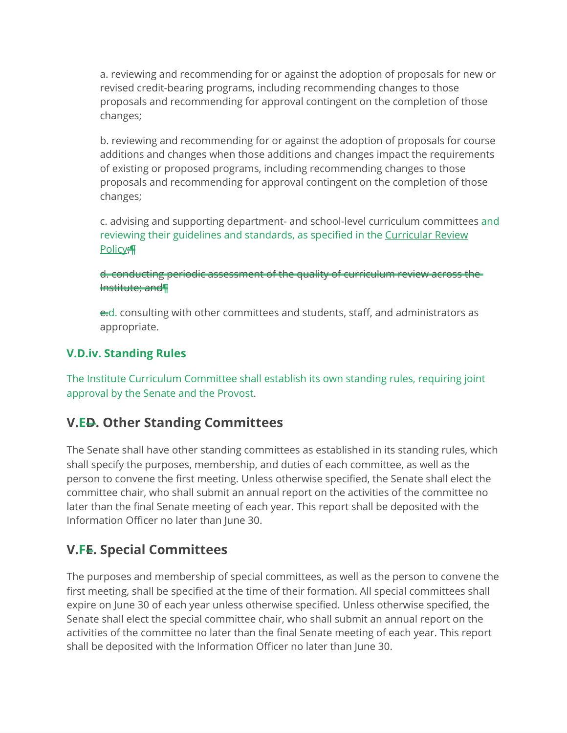a. reviewing and recommending for or against the adoption of proposals for new or revised credit-bearing programs, including recommending changes to those proposals and recommending for approval contingent on the completion of those changes;

b. reviewing and recommending for or against the adoption of proposals for course additions and changes when those additions and changes impact the requirements of existing or proposed programs, including recommending changes to those proposals and recommending for approval contingent on the completion of those changes;

c. advising and supporting department- and school-level curriculum committees and reviewing their guidelines and standards, as specified in the [Curricular](https://www.pratt.edu/tiny_mce/plugins/imagemanager/files/Pratt_Institute_Curriculum_Review_Policy_May_24_2021.pdf) Review [Policy](https://www.pratt.edu/tiny_mce/plugins/imagemanager/files/Pratt_Institute_Curriculum_Review_Policy_May_24_2021.pdf);¶

d. conducting periodic assessment of the quality of curriculum review across the Institute; and¶

e.d. consulting with other committees and students, staff, and administrators as appropriate.

#### **V.D.iv. Standing Rules**

The Institute Curriculum Committee shall establish its own standing rules, requiring joint approval by the Senate and the Provost.

### **V.ED. Other Standing Committees**

The Senate shall have other standing committees as established in its standing rules, which shall specify the purposes, membership, and duties of each committee, as well as the person to convene the first meeting. Unless otherwise specified, the Senate shall elect the committee chair, who shall submit an annual report on the activities of the committee no later than the final Senate meeting of each year. This report shall be deposited with the Information Officer no later than June 30.

### **V.FE. Special Committees**

The purposes and membership of special committees, as well as the person to convene the first meeting, shall be specified at the time of their formation. All special committees shall expire on June 30 of each year unless otherwise specified. Unless otherwise specified, the Senate shall elect the special committee chair, who shall submit an annual report on the activities of the committee no later than the final Senate meeting of each year. This report shall be deposited with the Information Officer no later than June 30.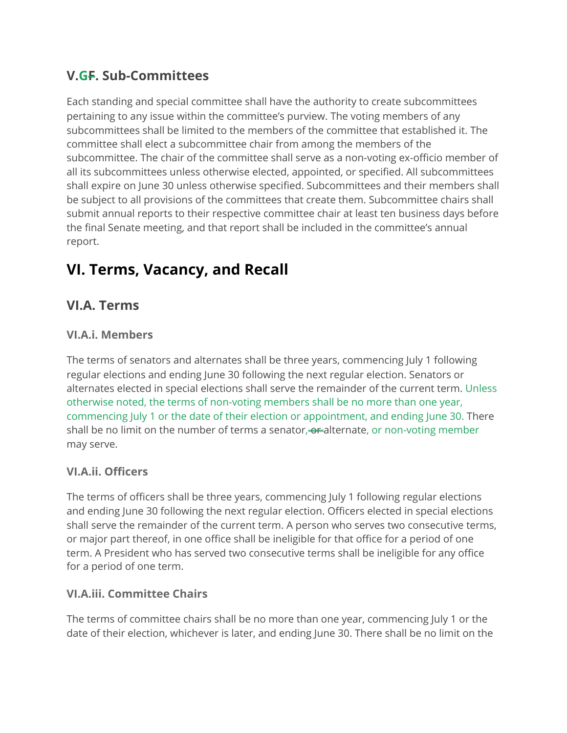### **V.GF. Sub-Committees**

Each standing and special committee shall have the authority to create subcommittees pertaining to any issue within the committee's purview. The voting members of any subcommittees shall be limited to the members of the committee that established it. The committee shall elect a subcommittee chair from among the members of the subcommittee. The chair of the committee shall serve as a non-voting ex-officio member of all its subcommittees unless otherwise elected, appointed, or specified. All subcommittees shall expire on June 30 unless otherwise specified. Subcommittees and their members shall be subject to all provisions of the committees that create them. Subcommittee chairs shall submit annual reports to their respective committee chair at least ten business days before the final Senate meeting, and that report shall be included in the committee's annual report.

# **VI. Terms, Vacancy, and Recall**

### **VI.A. Terms**

#### **VI.A.i. Members**

The terms of senators and alternates shall be three years, commencing July 1 following regular elections and ending June 30 following the next regular election. Senators or alternates elected in special elections shall serve the remainder of the current term. Unless otherwise noted, the terms of non-voting members shall be no more than one year, commencing July 1 or the date of their election or appointment, and ending June 30. There shall be no limit on the number of terms a senator, or alternate, or non-voting member may serve.

#### **VI.A.ii. Officers**

The terms of officers shall be three years, commencing July 1 following regular elections and ending June 30 following the next regular election. Officers elected in special elections shall serve the remainder of the current term. A person who serves two consecutive terms, or major part thereof, in one office shall be ineligible for that office for a period of one term. A President who has served two consecutive terms shall be ineligible for any office for a period of one term.

#### **VI.A.iii. Committee Chairs**

The terms of committee chairs shall be no more than one year, commencing July 1 or the date of their election, whichever is later, and ending June 30. There shall be no limit on the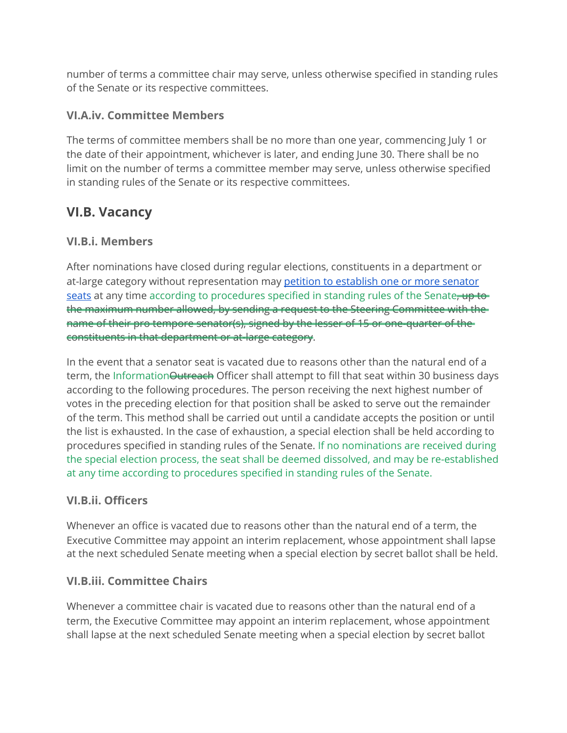number of terms a committee chair may serve, unless otherwise specified in standing rules of the Senate or its respective committees.

#### **VI.A.iv. Committee Members**

The terms of committee members shall be no more than one year, commencing July 1 or the date of their appointment, whichever is later, and ending June 30. There shall be no limit on the number of terms a committee member may serve, unless otherwise specified in standing rules of the Senate or its respective committees.

### **VI.B. Vacancy**

#### **VI.B.i. Members**

After nominations have closed during regular elections, constituents in a department or at-large category without representation may petition to [establish](http://prattsenate.org/wp-content/uploads/2017/09/Petition-to-Establish-a-Senator-Seat.pdf) one or more senator [seats](http://prattsenate.org/wp-content/uploads/2017/09/Petition-to-Establish-a-Senator-Seat.pdf) at any time according to procedures specified in standing rules of the Senate, up to the maximum number allowed, by sending a request to the Steering Committee with the name of their pro tempore senator(s), signed by the lesser of 15 or one-quarter of the constituents in that department or at-large category.

In the event that a senator seat is vacated due to reasons other than the natural end of a term, the Information Outreach Officer shall attempt to fill that seat within 30 business days according to the following procedures. The person receiving the next highest number of votes in the preceding election for that position shall be asked to serve out the remainder of the term. This method shall be carried out until a candidate accepts the position or until the list is exhausted. In the case of exhaustion, a special election shall be held according to procedures specified in standing rules of the Senate. If no nominations are received during the special election process, the seat shall be deemed dissolved, and may be re-established at any time according to procedures specified in standing rules of the Senate.

#### **VI.B.ii. Officers**

Whenever an office is vacated due to reasons other than the natural end of a term, the Executive Committee may appoint an interim replacement, whose appointment shall lapse at the next scheduled Senate meeting when a special election by secret ballot shall be held.

#### **VI.B.iii. Committee Chairs**

Whenever a committee chair is vacated due to reasons other than the natural end of a term, the Executive Committee may appoint an interim replacement, whose appointment shall lapse at the next scheduled Senate meeting when a special election by secret ballot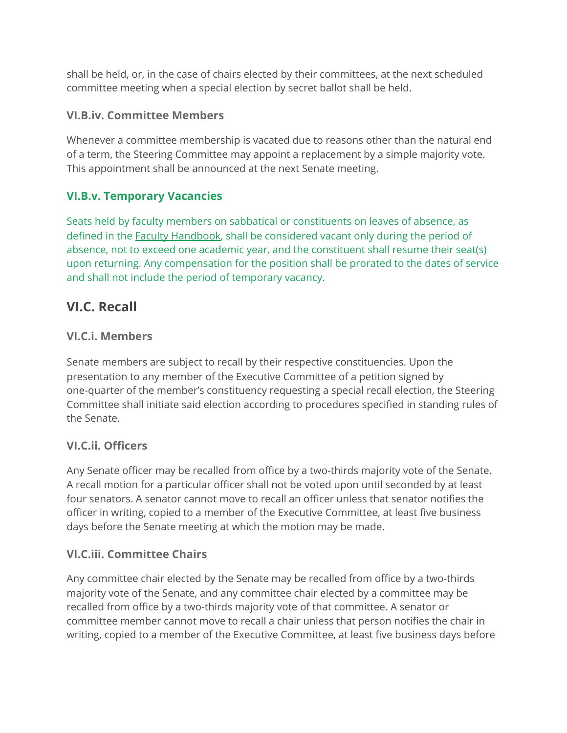shall be held, or, in the case of chairs elected by their committees, at the next scheduled committee meeting when a special election by secret ballot shall be held.

#### **VI.B.iv. Committee Members**

Whenever a committee membership is vacated due to reasons other than the natural end of a term, the Steering Committee may appoint a replacement by a simple majority vote. This appointment shall be announced at the next Senate meeting.

#### **VI.B.v. Temporary Vacancies**

Seats held by faculty members on sabbatical or constituents on leaves of absence, as defined in the Faculty [Handbook](https://prattsenate.org/faculty-handbook), shall be considered vacant only during the period of absence, not to exceed one academic year, and the constituent shall resume their seat(s) upon returning. Any compensation for the position shall be prorated to the dates of service and shall not include the period of temporary vacancy.

### **VI.C. Recall**

#### **VI.C.i. Members**

Senate members are subject to recall by their respective constituencies. Upon the presentation to any member of the Executive Committee of a petition signed by one-quarter of the member's constituency requesting a special recall election, the Steering Committee shall initiate said election according to procedures specified in standing rules of the Senate.

#### **VI.C.ii. Officers**

Any Senate officer may be recalled from office by a two-thirds majority vote of the Senate. A recall motion for a particular officer shall not be voted upon until seconded by at least four senators. A senator cannot move to recall an officer unless that senator notifies the officer in writing, copied to a member of the Executive Committee, at least five business days before the Senate meeting at which the motion may be made.

#### **VI.C.iii. Committee Chairs**

Any committee chair elected by the Senate may be recalled from office by a two-thirds majority vote of the Senate, and any committee chair elected by a committee may be recalled from office by a two-thirds majority vote of that committee. A senator or committee member cannot move to recall a chair unless that person notifies the chair in writing, copied to a member of the Executive Committee, at least five business days before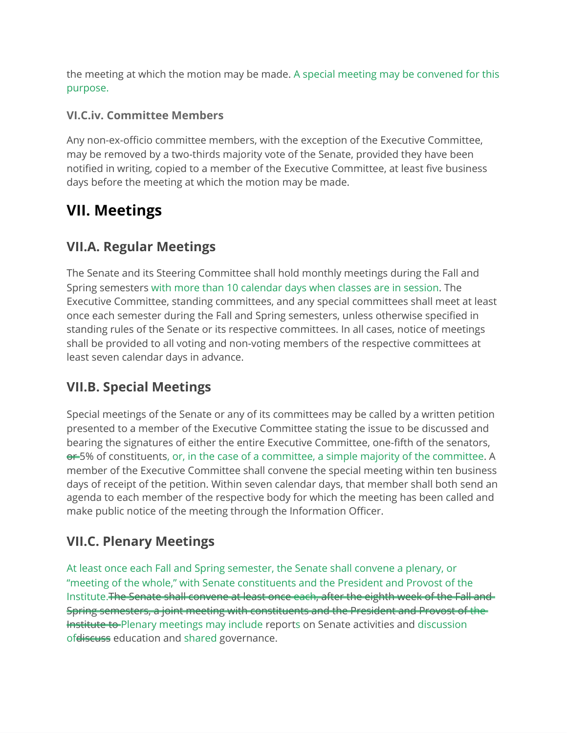the meeting at which the motion may be made. A special meeting may be convened for this purpose.

#### **VI.C.iv. Committee Members**

Any non-ex-officio committee members, with the exception of the Executive Committee, may be removed by a two-thirds majority vote of the Senate, provided they have been notified in writing, copied to a member of the Executive Committee, at least five business days before the meeting at which the motion may be made.

# **VII. Meetings**

### **VII.A. Regular Meetings**

The Senate and its Steering Committee shall hold monthly meetings during the Fall and Spring semesters with more than 10 calendar days when classes are in session. The Executive Committee, standing committees, and any special committees shall meet at least once each semester during the Fall and Spring semesters, unless otherwise specified in standing rules of the Senate or its respective committees. In all cases, notice of meetings shall be provided to all voting and non-voting members of the respective committees at least seven calendar days in advance.

### **VII.B. Special Meetings**

Special meetings of the Senate or any of its committees may be called by a written petition presented to a member of the Executive Committee stating the issue to be discussed and bearing the signatures of either the entire Executive Committee, one-fifth of the senators, **er-5%** of constituents, or, in the case of a committee, a simple majority of the committee. A member of the Executive Committee shall convene the special meeting within ten business days of receipt of the petition. Within seven calendar days, that member shall both send an agenda to each member of the respective body for which the meeting has been called and make public notice of the meeting through the Information Officer.

### **VII.C. Plenary Meetings**

At least once each Fall and Spring semester, the Senate shall convene a plenary, or "meeting of the whole," with Senate constituents and the President and Provost of the Institute.The Senate shall convene at least once each, after the eighth week of the Fall and Spring semesters, a joint meeting with constituents and the President and Provost of the **Institute to-Plenary meetings may include reports on Senate activities and discussion** ofdiscuss education and shared governance.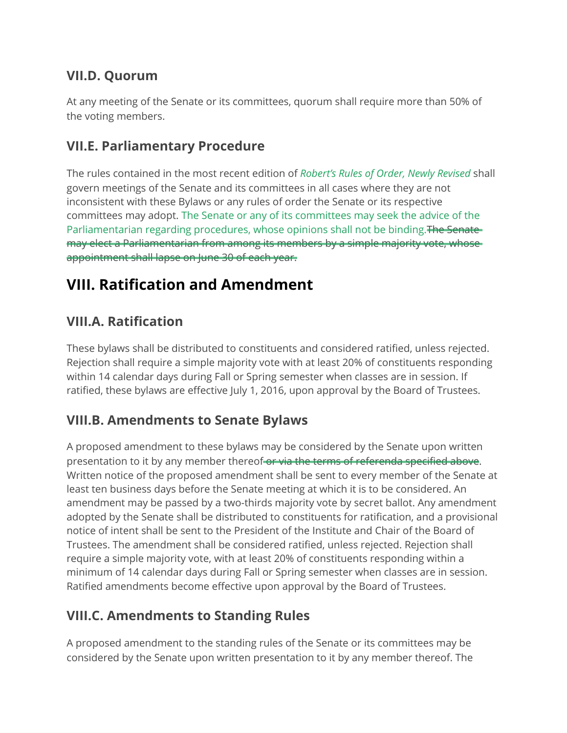### **VII.D. Quorum**

At any meeting of the Senate or its committees, quorum shall require more than 50% of the voting members.

### **VII.E. Parliamentary Procedure**

The rules contained in the most recent edition of *Robert's Rules of Order, Newly Revised* shall govern meetings of the Senate and its committees in all cases where they are not inconsistent with these Bylaws or any rules of order the Senate or its respective committees may adopt. The Senate or any of its committees may seek the advice of the Parliamentarian regarding procedures, whose opinions shall not be binding. The Senatemay elect a Parliamentarian from among its members by a simple majority vote, whose appointment shall lapse on June 30 of each year.

# **VIII. Ratification and Amendment**

### **VIII.A. Ratification**

These bylaws shall be distributed to constituents and considered ratified, unless rejected. Rejection shall require a simple majority vote with at least 20% of constituents responding within 14 calendar days during Fall or Spring semester when classes are in session. If ratified, these bylaws are effective July 1, 2016, upon approval by the Board of Trustees.

### **VIII.B. Amendments to Senate Bylaws**

A proposed amendment to these bylaws may be considered by the Senate upon written presentation to it by any member thereof or via the terms of referenda specified above. Written notice of the proposed amendment shall be sent to every member of the Senate at least ten business days before the Senate meeting at which it is to be considered. An amendment may be passed by a two-thirds majority vote by secret ballot. Any amendment adopted by the Senate shall be distributed to constituents for ratification, and a provisional notice of intent shall be sent to the President of the Institute and Chair of the Board of Trustees. The amendment shall be considered ratified, unless rejected. Rejection shall require a simple majority vote, with at least 20% of constituents responding within a minimum of 14 calendar days during Fall or Spring semester when classes are in session. Ratified amendments become effective upon approval by the Board of Trustees.

### **VIII.C. Amendments to Standing Rules**

A proposed amendment to the standing rules of the Senate or its committees may be considered by the Senate upon written presentation to it by any member thereof. The